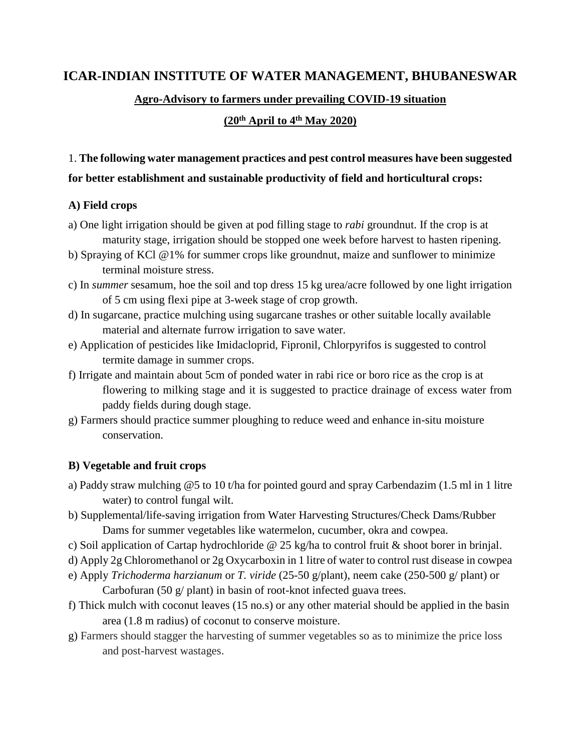# **ICAR-INDIAN INSTITUTE OF WATER MANAGEMENT, BHUBANESWAR**

#### **Agro-Advisory to farmers under prevailing COVID-19 situation**

#### **(20th April to 4th May 2020)**

# 1. **The following water management practices and pest control measures have been suggested for better establishment and sustainable productivity of field and horticultural crops:**

#### **A) Field crops**

- a) One light irrigation should be given at pod filling stage to *rabi* groundnut. If the crop is at maturity stage, irrigation should be stopped one week before harvest to hasten ripening.
- b) Spraying of KCl @1% for summer crops like groundnut, maize and sunflower to minimize terminal moisture stress.
- c) In *summer* sesamum, hoe the soil and top dress 15 kg urea/acre followed by one light irrigation of 5 cm using flexi pipe at 3-week stage of crop growth.
- d) In sugarcane, practice mulching using sugarcane trashes or other suitable locally available material and alternate furrow irrigation to save water.
- e) Application of pesticides like Imidacloprid, Fipronil, Chlorpyrifos is suggested to control termite damage in summer crops.
- f) Irrigate and maintain about 5cm of ponded water in rabi rice or boro rice as the crop is at flowering to milking stage and it is suggested to practice drainage of excess water from paddy fields during dough stage.
- g) Farmers should practice summer ploughing to reduce weed and enhance in-situ moisture conservation.

# **B) Vegetable and fruit crops**

- a) Paddy straw mulching @5 to 10 t/ha for pointed gourd and spray Carbendazim (1.5 ml in 1 litre water) to control fungal wilt.
- b) Supplemental/life-saving irrigation from Water Harvesting Structures/Check Dams/Rubber Dams for summer vegetables like watermelon, cucumber, okra and cowpea.
- c) Soil application of Cartap hydrochloride @ 25 kg/ha to control fruit & shoot borer in brinjal.
- d) Apply 2g Chloromethanol or 2g Oxycarboxin in 1 litre of water to control rust disease in cowpea
- e) Apply *Trichoderma harzianum* or *T. viride* (25-50 g/plant), neem cake (250-500 g/ plant) or Carbofuran (50 g/ plant) in basin of root-knot infected guava trees.
- f) Thick mulch with coconut leaves (15 no.s) or any other material should be applied in the basin area (1.8 m radius) of coconut to conserve moisture.
- g) Farmers should stagger the harvesting of summer vegetables so as to minimize the price loss and post-harvest wastages.